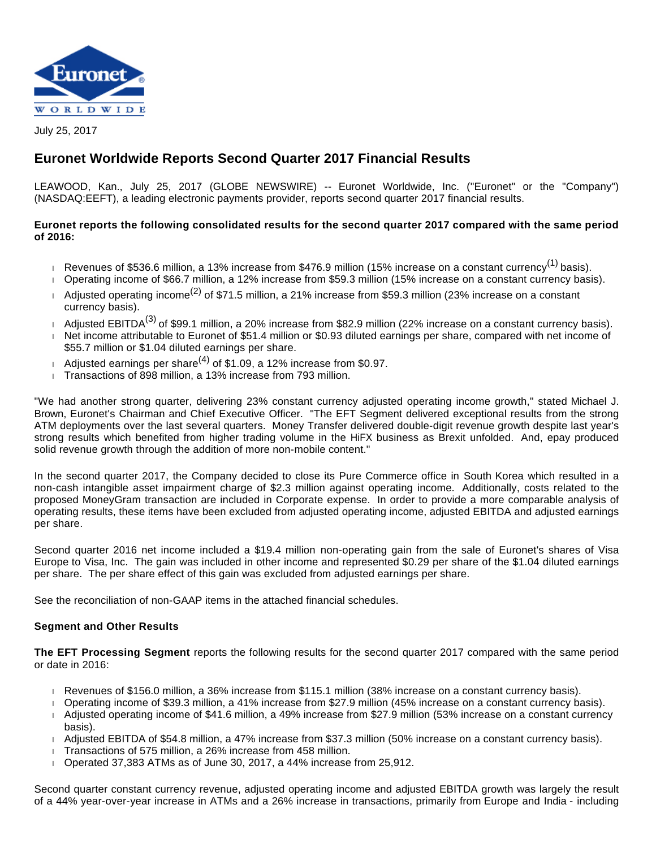

July 25, 2017

# **Euronet Worldwide Reports Second Quarter 2017 Financial Results**

LEAWOOD, Kan., July 25, 2017 (GLOBE NEWSWIRE) -- Euronet Worldwide, Inc. ("Euronet" or the "Company") (NASDAQ:EEFT), a leading electronic payments provider, reports second quarter 2017 financial results.

# **Euronet reports the following consolidated results for the second quarter 2017 compared with the same period of 2016:**

- Revenues of \$536.6 million, a 13% increase from \$476.9 million (15% increase on a constant currency<sup>(1)</sup> basis).
- Operating income of \$66.7 million, a 12% increase from \$59.3 million (15% increase on a constant currency basis).
- Adjusted operating income<sup>(2)</sup> of \$71.5 million, a 21% increase from \$59.3 million (23% increase on a constant currency basis).
- Adjusted EBITDA<sup>(3)</sup> of \$99.1 million, a 20% increase from \$82.9 million (22% increase on a constant currency basis).
- Net income attributable to Euronet of \$51.4 million or \$0.93 diluted earnings per share, compared with net income of \$55.7 million or \$1.04 diluted earnings per share.
- Adjusted earnings per share<sup>(4)</sup> of \$1.09, a 12% increase from \$0.97.
- Transactions of 898 million, a 13% increase from 793 million.

"We had another strong quarter, delivering 23% constant currency adjusted operating income growth," stated Michael J. Brown, Euronet's Chairman and Chief Executive Officer. "The EFT Segment delivered exceptional results from the strong ATM deployments over the last several quarters. Money Transfer delivered double-digit revenue growth despite last year's strong results which benefited from higher trading volume in the HiFX business as Brexit unfolded. And, epay produced solid revenue growth through the addition of more non-mobile content."

In the second quarter 2017, the Company decided to close its Pure Commerce office in South Korea which resulted in a non-cash intangible asset impairment charge of \$2.3 million against operating income. Additionally, costs related to the proposed MoneyGram transaction are included in Corporate expense. In order to provide a more comparable analysis of operating results, these items have been excluded from adjusted operating income, adjusted EBITDA and adjusted earnings per share.

Second quarter 2016 net income included a \$19.4 million non-operating gain from the sale of Euronet's shares of Visa Europe to Visa, Inc. The gain was included in other income and represented \$0.29 per share of the \$1.04 diluted earnings per share. The per share effect of this gain was excluded from adjusted earnings per share.

See the reconciliation of non-GAAP items in the attached financial schedules.

# **Segment and Other Results**

**The EFT Processing Segment** reports the following results for the second quarter 2017 compared with the same period or date in 2016:

- Revenues of \$156.0 million, a 36% increase from \$115.1 million (38% increase on a constant currency basis).
- Operating income of \$39.3 million, a 41% increase from \$27.9 million (45% increase on a constant currency basis).
- Adjusted operating income of \$41.6 million, a 49% increase from \$27.9 million (53% increase on a constant currency basis).
- Adjusted EBITDA of \$54.8 million, a 47% increase from \$37.3 million (50% increase on a constant currency basis).
- Transactions of 575 million, a 26% increase from 458 million.
- $\overline{1}$  Operated 37,383 ATMs as of June 30, 2017, a 44% increase from 25,912.

Second quarter constant currency revenue, adjusted operating income and adjusted EBITDA growth was largely the result of a 44% year-over-year increase in ATMs and a 26% increase in transactions, primarily from Europe and India - including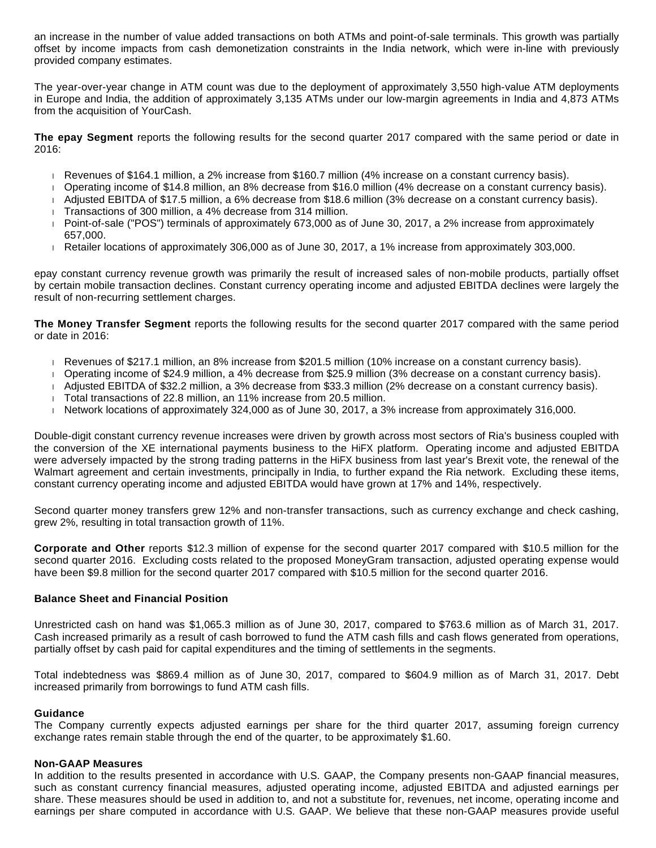an increase in the number of value added transactions on both ATMs and point-of-sale terminals. This growth was partially offset by income impacts from cash demonetization constraints in the India network, which were in-line with previously provided company estimates.

The year-over-year change in ATM count was due to the deployment of approximately 3,550 high-value ATM deployments in Europe and India, the addition of approximately 3,135 ATMs under our low-margin agreements in India and 4,873 ATMs from the acquisition of YourCash.

**The epay Segment** reports the following results for the second quarter 2017 compared with the same period or date in 2016:

- Revenues of \$164.1 million, a 2% increase from \$160.7 million (4% increase on a constant currency basis).
- Operating income of \$14.8 million, an 8% decrease from \$16.0 million (4% decrease on a constant currency basis).
- Adjusted EBITDA of \$17.5 million, a 6% decrease from \$18.6 million (3% decrease on a constant currency basis).
- Transactions of 300 million, a 4% decrease from 314 million.
- Point-of-sale ("POS") terminals of approximately 673,000 as of June 30, 2017, a 2% increase from approximately 657,000.
- Retailer locations of approximately 306,000 as of June 30, 2017, a 1% increase from approximately 303,000.

epay constant currency revenue growth was primarily the result of increased sales of non-mobile products, partially offset by certain mobile transaction declines. Constant currency operating income and adjusted EBITDA declines were largely the result of non-recurring settlement charges.

**The Money Transfer Segment** reports the following results for the second quarter 2017 compared with the same period or date in 2016:

- Revenues of \$217.1 million, an 8% increase from \$201.5 million (10% increase on a constant currency basis).
- Operating income of \$24.9 million, a 4% decrease from \$25.9 million (3% decrease on a constant currency basis).
- Adjusted EBITDA of \$32.2 million, a 3% decrease from \$33.3 million (2% decrease on a constant currency basis).
- Total transactions of 22.8 million, an 11% increase from 20.5 million.
- Network locations of approximately 324,000 as of June 30, 2017, a  $3%$  increase from approximately 316,000.

Double-digit constant currency revenue increases were driven by growth across most sectors of Ria's business coupled with the conversion of the XE international payments business to the HiFX platform. Operating income and adjusted EBITDA were adversely impacted by the strong trading patterns in the HiFX business from last year's Brexit vote, the renewal of the Walmart agreement and certain investments, principally in India, to further expand the Ria network. Excluding these items, constant currency operating income and adjusted EBITDA would have grown at 17% and 14%, respectively.

Second quarter money transfers grew 12% and non-transfer transactions, such as currency exchange and check cashing, grew 2%, resulting in total transaction growth of 11%.

**Corporate and Other** reports \$12.3 million of expense for the second quarter 2017 compared with \$10.5 million for the second quarter 2016. Excluding costs related to the proposed MoneyGram transaction, adjusted operating expense would have been \$9.8 million for the second quarter 2017 compared with \$10.5 million for the second quarter 2016.

## **Balance Sheet and Financial Position**

Unrestricted cash on hand was \$1,065.3 million as of June 30, 2017, compared to \$763.6 million as of March 31, 2017. Cash increased primarily as a result of cash borrowed to fund the ATM cash fills and cash flows generated from operations, partially offset by cash paid for capital expenditures and the timing of settlements in the segments.

Total indebtedness was \$869.4 million as of June 30, 2017, compared to \$604.9 million as of March 31, 2017. Debt increased primarily from borrowings to fund ATM cash fills.

#### **Guidance**

The Company currently expects adjusted earnings per share for the third quarter 2017, assuming foreign currency exchange rates remain stable through the end of the quarter, to be approximately \$1.60.

#### **Non-GAAP Measures**

In addition to the results presented in accordance with U.S. GAAP, the Company presents non-GAAP financial measures, such as constant currency financial measures, adjusted operating income, adjusted EBITDA and adjusted earnings per share. These measures should be used in addition to, and not a substitute for, revenues, net income, operating income and earnings per share computed in accordance with U.S. GAAP. We believe that these non-GAAP measures provide useful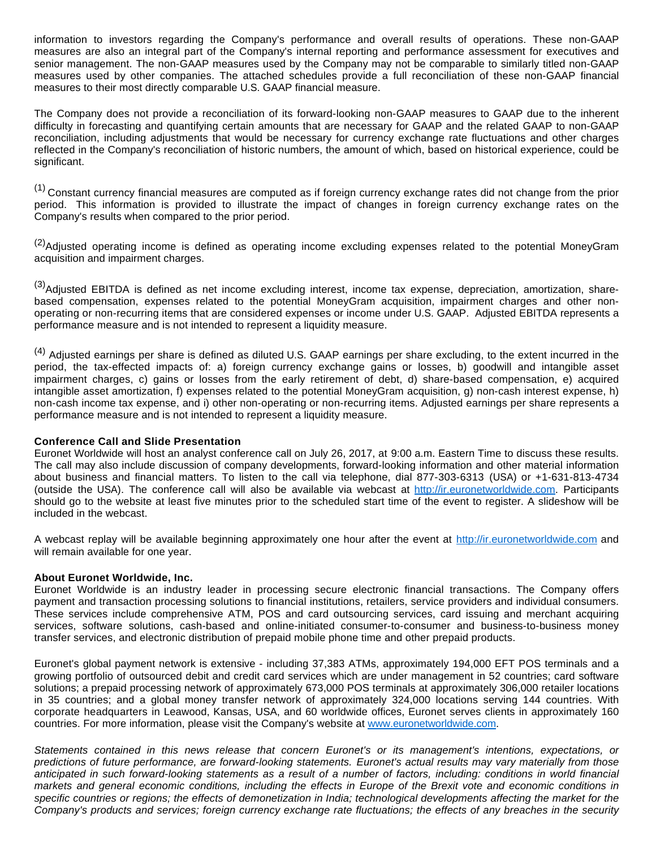information to investors regarding the Company's performance and overall results of operations. These non-GAAP measures are also an integral part of the Company's internal reporting and performance assessment for executives and senior management. The non-GAAP measures used by the Company may not be comparable to similarly titled non-GAAP measures used by other companies. The attached schedules provide a full reconciliation of these non-GAAP financial measures to their most directly comparable U.S. GAAP financial measure.

The Company does not provide a reconciliation of its forward-looking non-GAAP measures to GAAP due to the inherent difficulty in forecasting and quantifying certain amounts that are necessary for GAAP and the related GAAP to non-GAAP reconciliation, including adjustments that would be necessary for currency exchange rate fluctuations and other charges reflected in the Company's reconciliation of historic numbers, the amount of which, based on historical experience, could be significant.

 $(1)$  Constant currency financial measures are computed as if foreign currency exchange rates did not change from the prior period. This information is provided to illustrate the impact of changes in foreign currency exchange rates on the Company's results when compared to the prior period.

<sup>(2)</sup>Adjusted operating income is defined as operating income excluding expenses related to the potential MoneyGram acquisition and impairment charges.

<sup>(3)</sup>Adjusted EBITDA is defined as net income excluding interest, income tax expense, depreciation, amortization, sharebased compensation, expenses related to the potential MoneyGram acquisition, impairment charges and other nonoperating or non-recurring items that are considered expenses or income under U.S. GAAP. Adjusted EBITDA represents a performance measure and is not intended to represent a liquidity measure.

<sup>(4)</sup> Adjusted earnings per share is defined as diluted U.S. GAAP earnings per share excluding, to the extent incurred in the period, the tax-effected impacts of: a) foreign currency exchange gains or losses, b) goodwill and intangible asset impairment charges, c) gains or losses from the early retirement of debt, d) share-based compensation, e) acquired intangible asset amortization, f) expenses related to the potential MoneyGram acquisition, g) non-cash interest expense, h) non-cash income tax expense, and i) other non-operating or non-recurring items. Adjusted earnings per share represents a performance measure and is not intended to represent a liquidity measure.

## **Conference Call and Slide Presentation**

Euronet Worldwide will host an analyst conference call on July 26, 2017, at 9:00 a.m. Eastern Time to discuss these results. The call may also include discussion of company developments, forward-looking information and other material information about business and financial matters. To listen to the call via telephone, dial 877-303-6313 (USA) or +1-631-813-4734 (outside the USA). The conference call will also be available via webcast at [http://ir.euronetworldwide.com](https://www.globenewswire.com/Tracker?data=iCUTdablRsXGV0dlozsd_WV0PgfL-1jniirRriLHfm3Tom-nlk6jH6N2f46dsweHOQkAW8ho-Ej9HOgucObxA-iDQ-q_Ofk4277fCmU_9GLmJCyhl25XWdF4OGBEdIm_). Participants should go to the website at least five minutes prior to the scheduled start time of the event to register. A slideshow will be included in the webcast.

A webcast replay will be available beginning approximately one hour after the event at [http://ir.euronetworldwide.com](https://www.globenewswire.com/Tracker?data=iCUTdablRsXGV0dlozsd_WV0PgfL-1jniirRriLHfm1PzLliGDPjZqbATDxz-OX3QcW33K4Sr6SGGPoeBpKOSMuHAnEFg2n5QMT44XL1gaqdMR4M0hTnA8qYN7ZUYzdd) and will remain available for one year.

## **About Euronet Worldwide, Inc.**

Euronet Worldwide is an industry leader in processing secure electronic financial transactions. The Company offers payment and transaction processing solutions to financial institutions, retailers, service providers and individual consumers. These services include comprehensive ATM, POS and card outsourcing services, card issuing and merchant acquiring services, software solutions, cash-based and online-initiated consumer-to-consumer and business-to-business money transfer services, and electronic distribution of prepaid mobile phone time and other prepaid products.

Euronet's global payment network is extensive - including 37,383 ATMs, approximately 194,000 EFT POS terminals and a growing portfolio of outsourced debit and credit card services which are under management in 52 countries; card software solutions; a prepaid processing network of approximately 673,000 POS terminals at approximately 306,000 retailer locations in 35 countries; and a global money transfer network of approximately 324,000 locations serving 144 countries. With corporate headquarters in Leawood, Kansas, USA, and 60 worldwide offices, Euronet serves clients in approximately 160 countries. For more information, please visit the Company's website at [www.euronetworldwide.com](http://www.euronetworldwide.com/).

Statements contained in this news release that concern Euronet's or its management's intentions, expectations, or predictions of future performance, are forward-looking statements. Euronet's actual results may vary materially from those anticipated in such forward-looking statements as a result of a number of factors, including: conditions in world financial markets and general economic conditions, including the effects in Europe of the Brexit vote and economic conditions in specific countries or regions; the effects of demonetization in India; technological developments affecting the market for the Company's products and services; foreign currency exchange rate fluctuations; the effects of any breaches in the security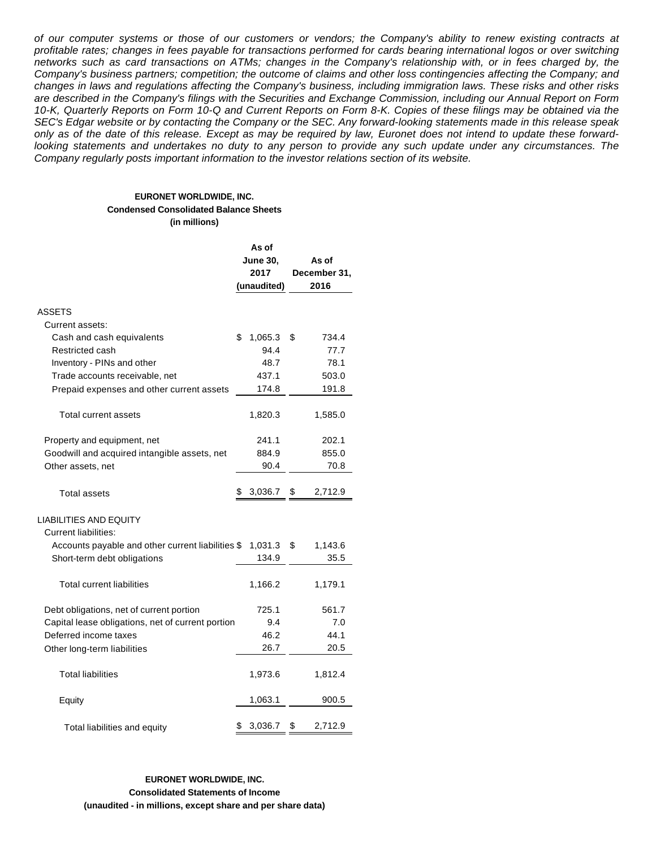of our computer systems or those of our customers or vendors; the Company's ability to renew existing contracts at profitable rates; changes in fees payable for transactions performed for cards bearing international logos or over switching networks such as card transactions on ATMs; changes in the Company's relationship with, or in fees charged by, the Company's business partners; competition; the outcome of claims and other loss contingencies affecting the Company; and changes in laws and regulations affecting the Company's business, including immigration laws. These risks and other risks are described in the Company's filings with the Securities and Exchange Commission, including our Annual Report on Form 10-K, Quarterly Reports on Form 10-Q and Current Reports on Form 8-K. Copies of these filings may be obtained via the SEC's Edgar website or by contacting the Company or the SEC. Any forward-looking statements made in this release speak only as of the date of this release. Except as may be required by law, Euronet does not intend to update these forwardlooking statements and undertakes no duty to any person to provide any such update under any circumstances. The Company regularly posts important information to the investor relations section of its website.

#### **EURONET WORLDWIDE, INC. Condensed Consolidated Balance Sheets (in millions)**

|                                                   | As of |                 |       |              |  |  |  |
|---------------------------------------------------|-------|-----------------|-------|--------------|--|--|--|
|                                                   |       | <b>June 30,</b> | As of |              |  |  |  |
|                                                   |       | 2017            |       | December 31, |  |  |  |
|                                                   |       | (unaudited)     |       | 2016         |  |  |  |
|                                                   |       |                 |       |              |  |  |  |
| <b>ASSETS</b>                                     |       |                 |       |              |  |  |  |
| Current assets:                                   |       |                 |       |              |  |  |  |
| Cash and cash equivalents                         | \$    | 1,065.3         | \$    | 734.4        |  |  |  |
| Restricted cash                                   |       | 94.4            |       | 77.7         |  |  |  |
| Inventory - PINs and other                        |       | 48.7            |       | 78.1         |  |  |  |
| Trade accounts receivable, net                    |       | 437.1           |       | 503.0        |  |  |  |
| Prepaid expenses and other current assets         |       | 174.8           |       | 191.8        |  |  |  |
| Total current assets                              |       | 1,820.3         |       | 1,585.0      |  |  |  |
| Property and equipment, net                       |       | 241.1           |       | 202.1        |  |  |  |
| Goodwill and acquired intangible assets, net      |       | 884.9           |       | 855.0        |  |  |  |
| Other assets, net                                 |       | 90.4            |       | 70.8         |  |  |  |
|                                                   |       |                 |       |              |  |  |  |
| <b>Total assets</b>                               | \$    | 3,036.7         | \$    | 2,712.9      |  |  |  |
| <b>LIABILITIES AND EQUITY</b>                     |       |                 |       |              |  |  |  |
| <b>Current liabilities:</b>                       |       |                 |       |              |  |  |  |
| Accounts payable and other current liabilities \$ |       | 1,031.3         | \$    | 1,143.6      |  |  |  |
| Short-term debt obligations                       |       | 134.9           |       | 35.5         |  |  |  |
|                                                   |       |                 |       |              |  |  |  |
| <b>Total current liabilities</b>                  |       | 1,166.2         |       | 1,179.1      |  |  |  |
| Debt obligations, net of current portion          |       | 725.1           |       | 561.7        |  |  |  |
| Capital lease obligations, net of current portion |       | 9.4             |       | 7.0          |  |  |  |
| Deferred income taxes                             |       | 46.2            |       | 44.1         |  |  |  |
| Other long-term liabilities                       |       | 26.7            |       | 20.5         |  |  |  |
|                                                   |       |                 |       |              |  |  |  |
| <b>Total liabilities</b>                          |       | 1,973.6         |       | 1,812.4      |  |  |  |
| Equity                                            |       | 1,063.1         |       | 900.5        |  |  |  |
| Total liabilities and equity                      | S     | 3,036.7         | \$    | 2,712.9      |  |  |  |

## **EURONET WORLDWIDE, INC. Consolidated Statements of Income (unaudited - in millions, except share and per share data)**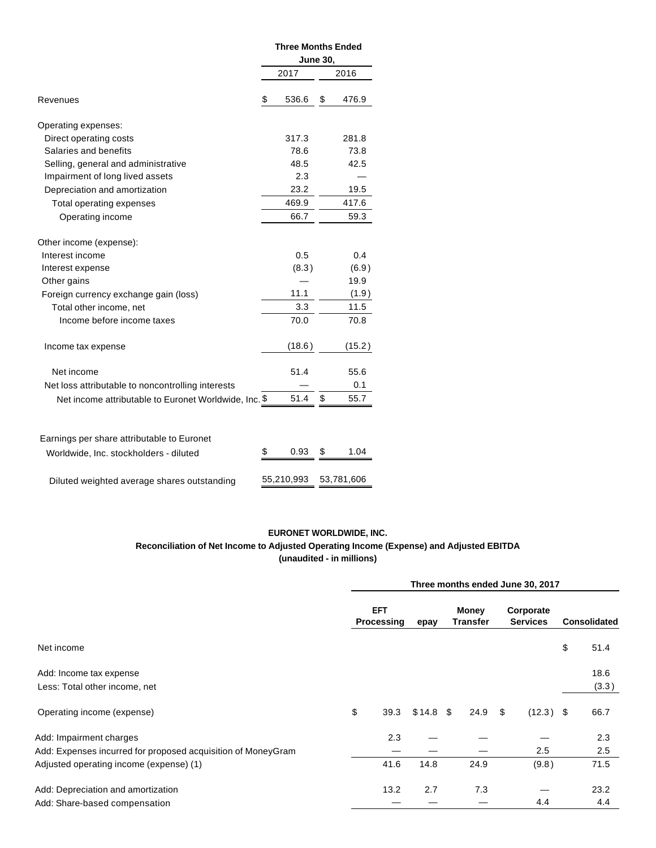|                                                       | <b>Three Months Ended</b><br><b>June 30,</b> |            |    |             |  |  |  |
|-------------------------------------------------------|----------------------------------------------|------------|----|-------------|--|--|--|
|                                                       |                                              |            |    |             |  |  |  |
|                                                       |                                              | 2017       |    | 2016        |  |  |  |
| Revenues                                              | \$                                           | 536.6      | \$ | 476.9       |  |  |  |
| Operating expenses:                                   |                                              |            |    |             |  |  |  |
| Direct operating costs                                |                                              | 317.3      |    | 281.8       |  |  |  |
| Salaries and benefits                                 |                                              | 78.6       |    | 73.8        |  |  |  |
| Selling, general and administrative                   |                                              | 48.5       |    | 42.5        |  |  |  |
| Impairment of long lived assets                       |                                              | 2.3        |    |             |  |  |  |
| Depreciation and amortization                         |                                              | 23.2       |    | 19.5        |  |  |  |
| Total operating expenses                              |                                              | 469.9      |    | 417.6       |  |  |  |
| Operating income                                      |                                              | 66.7       |    | 59.3        |  |  |  |
| Other income (expense):                               |                                              |            |    |             |  |  |  |
| Interest income                                       |                                              | 0.5        |    | 0.4         |  |  |  |
| Interest expense                                      |                                              | (8.3)      |    | (6.9)       |  |  |  |
| Other gains                                           |                                              |            |    | 19.9        |  |  |  |
| Foreign currency exchange gain (loss)                 |                                              | 11.1       |    | (1.9)       |  |  |  |
| Total other income, net                               |                                              | 3.3        |    | 11.5        |  |  |  |
| Income before income taxes                            |                                              | 70.0       |    | 70.8        |  |  |  |
| Income tax expense                                    |                                              | (18.6)     |    | (15.2)      |  |  |  |
|                                                       |                                              |            |    |             |  |  |  |
| Net income                                            |                                              | 51.4       |    | 55.6<br>0.1 |  |  |  |
| Net loss attributable to noncontrolling interests     |                                              |            |    | 55.7        |  |  |  |
| Net income attributable to Euronet Worldwide, Inc. \$ |                                              | 51.4       | \$ |             |  |  |  |
| Earnings per share attributable to Euronet            |                                              |            |    |             |  |  |  |
| Worldwide, Inc. stockholders - diluted                | \$                                           | 0.93       | \$ | 1.04        |  |  |  |
|                                                       |                                              |            |    |             |  |  |  |
| Diluted weighted average shares outstanding           |                                              | 55,210,993 |    | 53,781,606  |  |  |  |

## **EURONET WORLDWIDE, INC. Reconciliation of Net Income to Adjusted Operating Income (Expense) and Adjusted EBITDA (unaudited - in millions)**

|                                                              |                          | Three months ended June 30, 2017 |            |                   |      |                              |             |                     |       |  |  |
|--------------------------------------------------------------|--------------------------|----------------------------------|------------|-------------------|------|------------------------------|-------------|---------------------|-------|--|--|
|                                                              | <b>EFT</b><br>Processing |                                  | epay       | Money<br>Transfer |      | Corporate<br><b>Services</b> |             | <b>Consolidated</b> |       |  |  |
| Net income                                                   |                          |                                  |            |                   |      |                              |             | \$                  | 51.4  |  |  |
| Add: Income tax expense                                      |                          |                                  |            |                   |      |                              |             |                     | 18.6  |  |  |
| Less: Total other income, net                                |                          |                                  |            |                   |      |                              |             |                     | (3.3) |  |  |
| Operating income (expense)                                   | \$                       | 39.3                             | $$14.8$ \$ |                   | 24.9 | \$                           | $(12.3)$ \$ |                     | 66.7  |  |  |
| Add: Impairment charges                                      |                          | 2.3                              |            |                   |      |                              |             |                     | 2.3   |  |  |
| Add: Expenses incurred for proposed acquisition of MoneyGram |                          |                                  |            |                   |      |                              | 2.5         |                     | 2.5   |  |  |
| Adjusted operating income (expense) (1)                      |                          | 41.6                             | 14.8       |                   | 24.9 |                              | (9.8)       |                     | 71.5  |  |  |
| Add: Depreciation and amortization                           |                          | 13.2                             | 2.7        |                   | 7.3  |                              |             |                     | 23.2  |  |  |
| Add: Share-based compensation                                |                          |                                  |            |                   |      |                              | 4.4         |                     | 4.4   |  |  |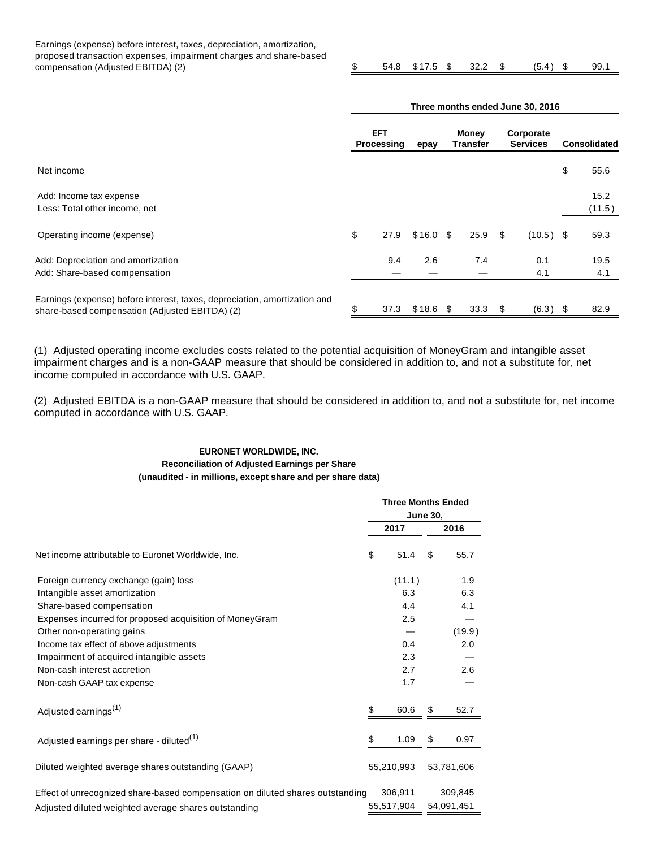Earnings (expense) before interest, taxes, depreciation, amortization, proposed transaction expenses, impairment charges and share-based compensation (Adjusted EBITDA) (2) \$ 54.8 \$ 17.5 \$ 32.2 \$ (5.4 ) \$ 99.1

|                                                                                                                             | Three months ended June 30, 2016 |                          |            |                   |      |                              |             |                     |                |
|-----------------------------------------------------------------------------------------------------------------------------|----------------------------------|--------------------------|------------|-------------------|------|------------------------------|-------------|---------------------|----------------|
|                                                                                                                             |                                  | <b>EFT</b><br>Processing |            | Money<br>Transfer |      | Corporate<br><b>Services</b> |             | <b>Consolidated</b> |                |
| Net income                                                                                                                  |                                  |                          |            |                   |      |                              |             | \$                  | 55.6           |
| Add: Income tax expense<br>Less: Total other income, net                                                                    |                                  |                          |            |                   |      |                              |             |                     | 15.2<br>(11.5) |
| Operating income (expense)                                                                                                  | \$                               | 27.9                     | $$16.0$ \$ |                   | 25.9 | \$                           | $(10.5)$ \$ |                     | 59.3           |
| Add: Depreciation and amortization<br>Add: Share-based compensation                                                         |                                  | 9.4                      | 2.6        |                   | 7.4  |                              | 0.1<br>4.1  |                     | 19.5<br>4.1    |
| Earnings (expense) before interest, taxes, depreciation, amortization and<br>share-based compensation (Adjusted EBITDA) (2) | \$                               | 37.3                     | $$18.6$ \$ |                   | 33.3 | - \$                         | (6.3)       | - \$                | 82.9           |

(1) Adjusted operating income excludes costs related to the potential acquisition of MoneyGram and intangible asset impairment charges and is a non-GAAP measure that should be considered in addition to, and not a substitute for, net income computed in accordance with U.S. GAAP.

(2) Adjusted EBITDA is a non-GAAP measure that should be considered in addition to, and not a substitute for, net income computed in accordance with U.S. GAAP.

#### **EURONET WORLDWIDE, INC. Reconciliation of Adjusted Earnings per Share (unaudited - in millions, except share and per share data)**

|                                                                               | <b>Three Months Ended</b><br><b>June 30,</b> |    |            |  |  |  |
|-------------------------------------------------------------------------------|----------------------------------------------|----|------------|--|--|--|
|                                                                               | 2017                                         |    | 2016       |  |  |  |
| Net income attributable to Euronet Worldwide, Inc.                            | \$<br>51.4                                   | \$ | 55.7       |  |  |  |
| Foreign currency exchange (gain) loss                                         | (11.1)                                       |    | 1.9        |  |  |  |
| Intangible asset amortization                                                 | 6.3                                          |    | 6.3        |  |  |  |
| Share-based compensation                                                      | 4.4                                          |    | 4.1        |  |  |  |
| Expenses incurred for proposed acquisition of MoneyGram                       | 2.5                                          |    |            |  |  |  |
| Other non-operating gains                                                     |                                              |    | (19.9)     |  |  |  |
| Income tax effect of above adjustments                                        | 0.4                                          |    | 2.0        |  |  |  |
| Impairment of acquired intangible assets                                      | 2.3                                          |    |            |  |  |  |
| Non-cash interest accretion                                                   | 2.7                                          |    | 2.6        |  |  |  |
| Non-cash GAAP tax expense                                                     | 1.7                                          |    |            |  |  |  |
| Adjusted earnings <sup>(1)</sup>                                              | \$<br>60.6                                   | \$ | 52.7       |  |  |  |
| Adjusted earnings per share - diluted <sup>(1)</sup>                          | \$<br>1.09                                   | \$ | 0.97       |  |  |  |
| Diluted weighted average shares outstanding (GAAP)                            | 55,210,993                                   |    | 53,781,606 |  |  |  |
| Effect of unrecognized share-based compensation on diluted shares outstanding | 306,911                                      |    | 309,845    |  |  |  |
| Adjusted diluted weighted average shares outstanding                          | 55,517,904                                   |    | 54.091,451 |  |  |  |